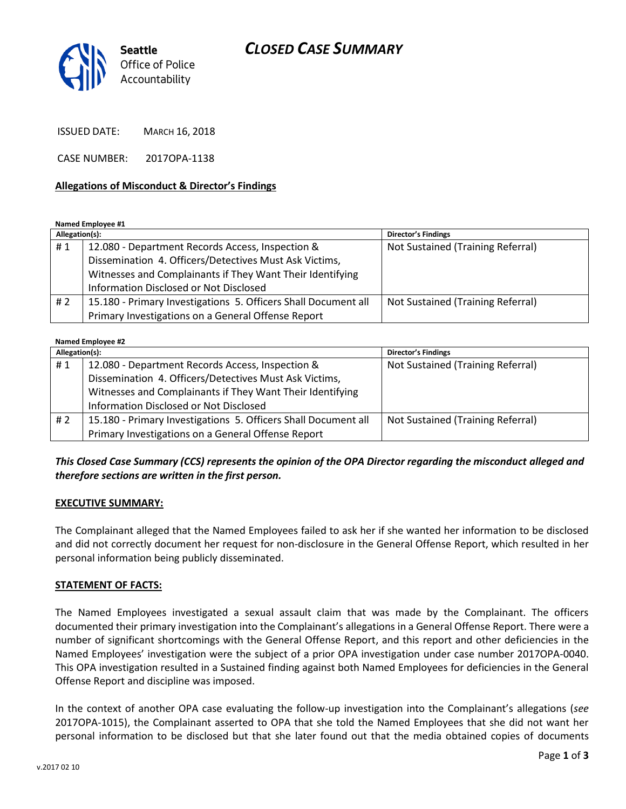# *CLOSED CASE SUMMARY*



ISSUED DATE: MARCH 16, 2018

CASE NUMBER: 2017OPA-1138

#### **Allegations of Misconduct & Director's Findings**

**Named Employee #1**

| Allegation(s): |                                                                | <b>Director's Findings</b>        |
|----------------|----------------------------------------------------------------|-----------------------------------|
| #1             | 12.080 - Department Records Access, Inspection &               | Not Sustained (Training Referral) |
|                | Dissemination 4. Officers/Detectives Must Ask Victims,         |                                   |
|                | Witnesses and Complainants if They Want Their Identifying      |                                   |
|                | Information Disclosed or Not Disclosed                         |                                   |
| # 2            | 15.180 - Primary Investigations 5. Officers Shall Document all | Not Sustained (Training Referral) |
|                | Primary Investigations on a General Offense Report             |                                   |

#### **Named Employee #2**

| Allegation(s): |                                                                | <b>Director's Findings</b>        |
|----------------|----------------------------------------------------------------|-----------------------------------|
| #1             | 12.080 - Department Records Access, Inspection &               | Not Sustained (Training Referral) |
|                | Dissemination 4. Officers/Detectives Must Ask Victims,         |                                   |
|                | Witnesses and Complainants if They Want Their Identifying      |                                   |
|                | Information Disclosed or Not Disclosed                         |                                   |
| # 2            | 15.180 - Primary Investigations 5. Officers Shall Document all | Not Sustained (Training Referral) |
|                | Primary Investigations on a General Offense Report             |                                   |

### *This Closed Case Summary (CCS) represents the opinion of the OPA Director regarding the misconduct alleged and therefore sections are written in the first person.*

#### **EXECUTIVE SUMMARY:**

The Complainant alleged that the Named Employees failed to ask her if she wanted her information to be disclosed and did not correctly document her request for non-disclosure in the General Offense Report, which resulted in her personal information being publicly disseminated.

#### **STATEMENT OF FACTS:**

The Named Employees investigated a sexual assault claim that was made by the Complainant. The officers documented their primary investigation into the Complainant's allegations in a General Offense Report. There were a number of significant shortcomings with the General Offense Report, and this report and other deficiencies in the Named Employees' investigation were the subject of a prior OPA investigation under case number 2017OPA-0040. This OPA investigation resulted in a Sustained finding against both Named Employees for deficiencies in the General Offense Report and discipline was imposed.

In the context of another OPA case evaluating the follow-up investigation into the Complainant's allegations (*see* 2017OPA-1015), the Complainant asserted to OPA that she told the Named Employees that she did not want her personal information to be disclosed but that she later found out that the media obtained copies of documents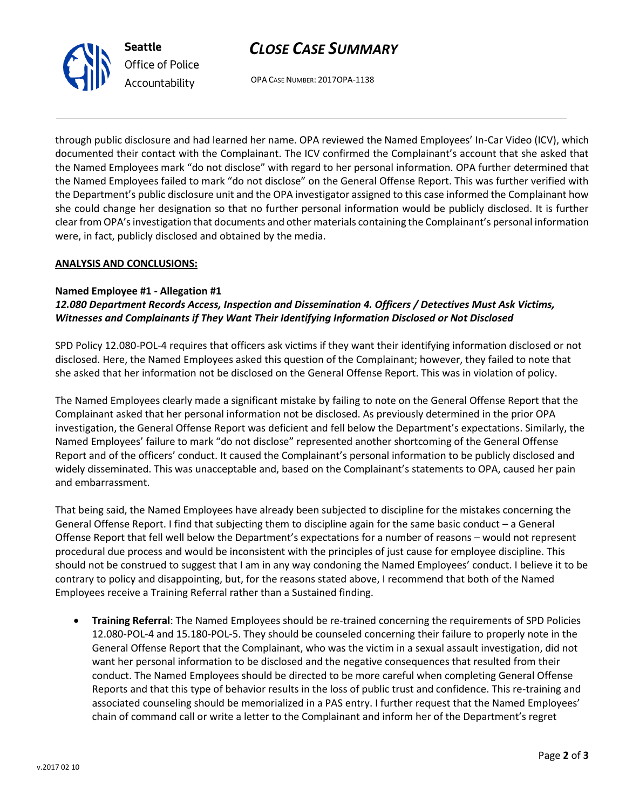# *CLOSE CASE SUMMARY*



OPA CASE NUMBER: 2017OPA-1138

through public disclosure and had learned her name. OPA reviewed the Named Employees' In-Car Video (ICV), which documented their contact with the Complainant. The ICV confirmed the Complainant's account that she asked that the Named Employees mark "do not disclose" with regard to her personal information. OPA further determined that the Named Employees failed to mark "do not disclose" on the General Offense Report. This was further verified with the Department's public disclosure unit and the OPA investigator assigned to this case informed the Complainant how she could change her designation so that no further personal information would be publicly disclosed. It is further clear from OPA's investigation that documents and other materials containing the Complainant's personal information were, in fact, publicly disclosed and obtained by the media.

## **ANALYSIS AND CONCLUSIONS:**

### **Named Employee #1 - Allegation #1**

*12.080 Department Records Access, Inspection and Dissemination 4. Officers / Detectives Must Ask Victims, Witnesses and Complainants if They Want Their Identifying Information Disclosed or Not Disclosed*

SPD Policy 12.080-POL-4 requires that officers ask victims if they want their identifying information disclosed or not disclosed. Here, the Named Employees asked this question of the Complainant; however, they failed to note that she asked that her information not be disclosed on the General Offense Report. This was in violation of policy.

The Named Employees clearly made a significant mistake by failing to note on the General Offense Report that the Complainant asked that her personal information not be disclosed. As previously determined in the prior OPA investigation, the General Offense Report was deficient and fell below the Department's expectations. Similarly, the Named Employees' failure to mark "do not disclose" represented another shortcoming of the General Offense Report and of the officers' conduct. It caused the Complainant's personal information to be publicly disclosed and widely disseminated. This was unacceptable and, based on the Complainant's statements to OPA, caused her pain and embarrassment.

That being said, the Named Employees have already been subjected to discipline for the mistakes concerning the General Offense Report. I find that subjecting them to discipline again for the same basic conduct – a General Offense Report that fell well below the Department's expectations for a number of reasons – would not represent procedural due process and would be inconsistent with the principles of just cause for employee discipline. This should not be construed to suggest that I am in any way condoning the Named Employees' conduct. I believe it to be contrary to policy and disappointing, but, for the reasons stated above, I recommend that both of the Named Employees receive a Training Referral rather than a Sustained finding.

 **Training Referral**: The Named Employees should be re-trained concerning the requirements of SPD Policies 12.080-POL-4 and 15.180-POL-5. They should be counseled concerning their failure to properly note in the General Offense Report that the Complainant, who was the victim in a sexual assault investigation, did not want her personal information to be disclosed and the negative consequences that resulted from their conduct. The Named Employees should be directed to be more careful when completing General Offense Reports and that this type of behavior results in the loss of public trust and confidence. This re-training and associated counseling should be memorialized in a PAS entry. I further request that the Named Employees' chain of command call or write a letter to the Complainant and inform her of the Department's regret